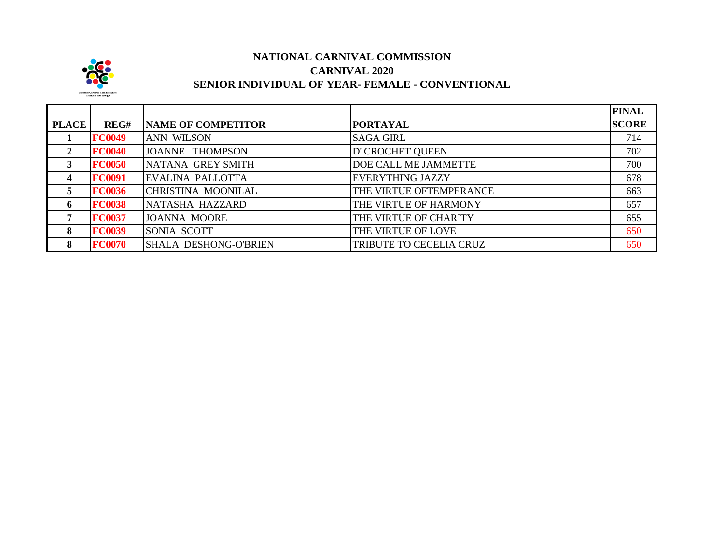

## **NATIONAL CARNIVAL COMMISSION CARNIVAL 2020 SENIOR INDIVIDUAL OF YEAR- FEMALE - CONVENTIONAL**

|              |               |                              |                             | <b>FINAL</b> |
|--------------|---------------|------------------------------|-----------------------------|--------------|
| <b>PLACE</b> | REG#          | <b>NAME OF COMPETITOR</b>    | <b>PORTAYAL</b>             | <b>SCORE</b> |
|              | <b>FC0049</b> | <b>ANN WILSON</b>            | <b>SAGA GIRL</b>            | 714          |
| $\mathbf{2}$ | <b>FC0040</b> | JOANNE THOMPSON              | D' CROCHET QUEEN            | 702          |
| 3            | <b>FC0050</b> | NATANA GREY SMITH            | <b>DOE CALL ME JAMMETTE</b> | 700          |
| 4            | <b>FC0091</b> | EVALINA PALLOTTA             | <b>EVERYTHING JAZZY</b>     | 678          |
| 5            | <b>FC0036</b> | CHRISTINA MOONILAL           | THE VIRTUE OFTEMPERANCE     | 663          |
| 6            | <b>FC0038</b> | NATASHA HAZZARD              | THE VIRTUE OF HARMONY       | 657          |
| 7            | <b>FC0037</b> | <b>JOANNA MOORE</b>          | THE VIRTUE OF CHARITY       | 655          |
| 8            | <b>FC0039</b> | SONIA SCOTT                  | THE VIRTUE OF LOVE          | 650          |
| 8            | <b>FC0070</b> | <b>SHALA DESHONG-O'BRIEN</b> | TRIBUTE TO CECELIA CRUZ     | 650          |